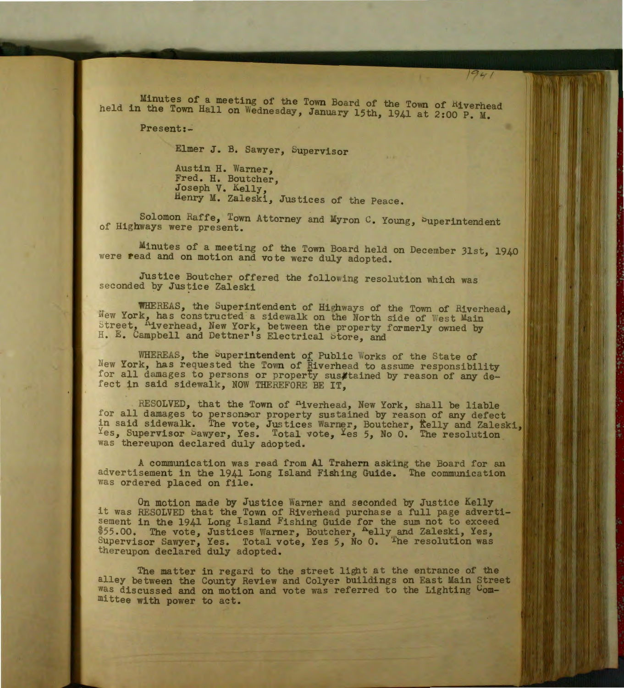Minutes of a meeting of the Tovm Board of the Town of Hiverhead held in the Town Hall on Wednesday, January 15th, 1941 at 2:00 P. M.

 $1941$ 

Present:~

Elmer **J.** B. Sawyer, bupervisor

Austin H. Warner, Fred. H. Boutcher, Joseph V. Kelly, Henry M. Zaleski, Justices of the Peace.

Solomon Raffe, Town Attorney and Myron C. Young, Superintendent of Highways were present.

Minutes of a meeting of the Town Board held on December 31st, 1940 were read and on motion and vote were duly adopted.

Justice Boutcher offered the following resolution which was seconded by Justice Zaleski

WHEREAS, the Superintendent of Highways of the Town of Riverhead, New York, has constructed a sidewalk on the North side of West Main Street, Hiverhead, New York, between the property formerly owned by H. E. Campbell and Dettner's Electrical Store, and

WHEREAS, the Superintendent of Public Works of the State of New York, has requested the Town of Riverhead to assume responsibility for all damages to persons or property susttained by reason of any defect in said sidewalk, NOW THEREFORE BE IT,

RESOLVED, that the Town of <sup>n</sup>iverhead, New York, shall be liable for all damages to personsor property sustained by reason of any defect in said sidewalk. The vote, Justices Warner, Boutcher, Kelly and Zaleski, Yes, Supervisor Sawyer, Yes. Total vote, Yes 5, No 0. The resolution was thereupon declared duly adopted.

A communication was read from **Al** Trahern asking the Board for an advertisement in the 1941 Long Island Fishing Guide. The communication was ordered placed on file.

On motion made by Justice Warner and seconded by Justice Kelly it was RESOLVED that the Town of Riverhead purchase a full page advertisement in the 1941 Long Island Fishing Guide for the sum not to exceed \$55.00. The vote, Justices Warner, Boutcher, Aelly and Zaleski, Yes, Supervisor Sawyer, Yes. Total vote, Yes 5, No 0. The resolution was thereupon declared duly adopted.

The matter in regard to the street light at the entrance of the alley between the County Review and Colyer buildings on East Main Street was discussed and on motion and vote was referred to the Lighting Committee with power to act.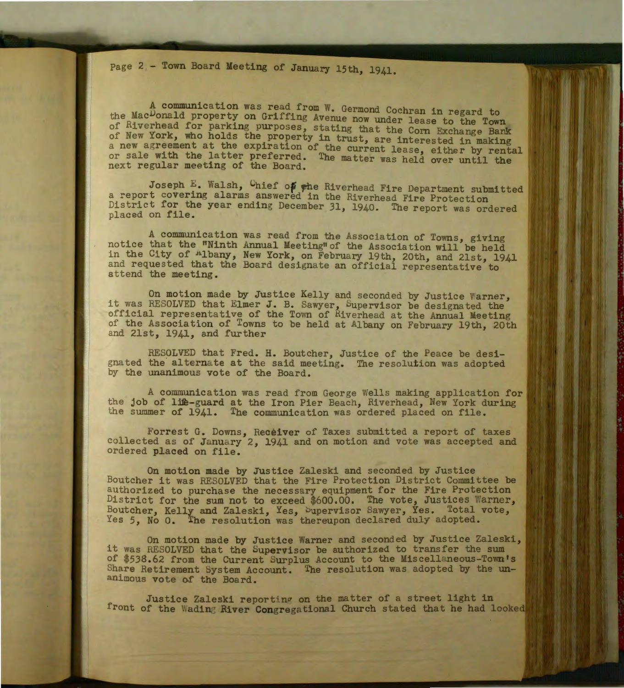page 2 - Town Board Meeting of January 15th, 1941.

A communication was read from W. Germond Cochran in regard to the Mac<sup>D</sup>onald property on Griffing Avenue now under lease to the Town of Riverhead for parking purposes, stating that the Corn Exchange Bank of New York, who holds the property in trust, are interested in making a new agreement at the expiration of the current lease, either by rental or sale with the latter preferred. The matter was held over until the next regular meeting of the Board.

Joseph E. Walsh, Chief of the Riverhead Fire Department submitted a report covering alarms answered in the Riverhead Fire Protection District for the year ending December 31, 1940. The report was ordered placed on file.

A communication was read from the Association of Towns, giving notice that the "Ninth Annual Meeting" of the Association will be held in the City of <sup>Albany</sup>, New York, on February 19th, 20th, and 21st, 1941 and requested that the Board designate an official representative to attend the meeting.

On motion made by Justice Kelly and seconded by Justice Warner, it was RESOLVED that Elmer J. B. Sawyer, Supervisor be designated the official representative of the Town of Riverhead at the Annual Meeting of the Association of Towns to be held at Albany on February 19th, 20th and 21st, 1941, and further

RESOLVED that Fred. H. Boutcher, Justice of the Peace be designated the alternate at the said meeting. The resolution was adopted by the unanimous vote of the Board.

A communication was read from George Wells making application for the job of life-guard at the Iron Pier Beach, Riverhead, New York during the summer of 1941. The communication was ordered placed on file.

Forrest G. Downs, Receiver of Taxes submitted a report of taxes collected as of January 2, 1941 and on motion and vote was accepted and ordered placed on file.

On motion made by Justice Zaleski and seconded by Justice Boutcher it was RESOLVED that the Fire Protection District Committee be authorized to purchase the necessary equipment for the Fire Protection District for the sum not to exceed \$600.00. The vote, Justices Warner, Boutcher, Kelly and Zaleski, Yes, Supervisor Sawyer, Yes. Total vote, Yes 5, No 0. The resolution was thereupon declared duly adopted.

On motion made by Justice Warner and seconded by Justice Zaleski, it was RESOLVED that the Supervisor be authorized to transfer the sum of \$538.62 from the Current Surplus Account to the Miscellaneous-Town's Share Retirement System Account. The resolution was adopted by the unanimous vote of the Board.

Justice Zaleski reporting on the matter of a street light in front of the Wading River Congregational Church stated that he had looked